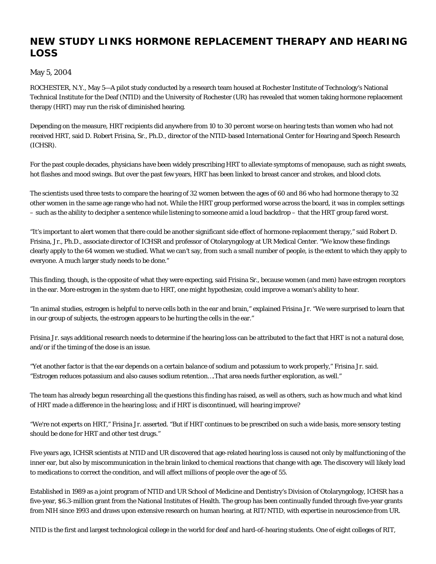## **NEW STUDY LINKS HORMONE REPLACEMENT THERAPY AND HEARING LOSS**

## May 5, 2004

ROCHESTER, N.Y., May 5—A pilot study conducted by a research team housed at Rochester Institute of Technology's National Technical Institute for the Deaf (NTID) and the University of Rochester (UR) has revealed that women taking hormone replacement therapy (HRT) may run the risk of diminished hearing.

Depending on the measure, HRT recipients did anywhere from 10 to 30 percent worse on hearing tests than women who had not received HRT, said D. Robert Frisina, Sr., Ph.D., director of the NTID-based International Center for Hearing and Speech Research (ICHSR).

For the past couple decades, physicians have been widely prescribing HRT to alleviate symptoms of menopause, such as night sweats, hot flashes and mood swings. But over the past few years, HRT has been linked to breast cancer and strokes, and blood clots.

The scientists used three tests to compare the hearing of 32 women between the ages of 60 and 86 who had hormone therapy to 32 other women in the same age range who had not. While the HRT group performed worse across the board, it was in complex settings – such as the ability to decipher a sentence while listening to someone amid a loud backdrop – that the HRT group fared worst.

"It's important to alert women that there could be another significant side effect of hormone-replacement therapy," said Robert D. Frisina, Jr., Ph.D., associate director of ICHSR and professor of Otolaryngology at UR Medical Center. "We know these findings clearly apply to the 64 women we studied. What we can't say, from such a small number of people, is the extent to which they apply to everyone. A much larger study needs to be done."

This finding, though, is the opposite of what they were expecting, said Frisina Sr., because women (and men) have estrogen receptors in the ear. More estrogen in the system due to HRT, one might hypothesize, could improve a woman's ability to hear.

"In animal studies, estrogen is helpful to nerve cells both in the ear and brain," explained Frisina Jr. "We were surprised to learn that in our group of subjects, the estrogen appears to be hurting the cells in the ear."

Frisina Jr. says additional research needs to determine if the hearing loss can be attributed to the fact that HRT is not a natural dose, and/or if the timing of the dose is an issue.

"Yet another factor is that the ear depends on a certain balance of sodium and potassium to work properly," Frisina Jr. said. "Estrogen reduces potassium and also causes sodium retention….That area needs further exploration, as well."

The team has already begun researching all the questions this finding has raised, as well as others, such as how much and what kind of HRT made a difference in the hearing loss; and if HRT is discontinued, will hearing improve?

"We're not experts on HRT," Frisina Jr. asserted. "But if HRT continues to be prescribed on such a wide basis, more sensory testing should be done for HRT and other test drugs."

Five years ago, ICHSR scientists at NTID and UR discovered that age-related hearing loss is caused not only by malfunctioning of the inner ear, but also by miscommunication in the brain linked to chemical reactions that change with age. The discovery will likely lead to medications to correct the condition, and will affect millions of people over the age of 55.

Established in 1989 as a joint program of NTID and UR School of Medicine and Dentistry's Division of Otolaryngology, ICHSR has a five-year, \$6.3-million grant from the National Institutes of Health. The group has been continually funded through five-year grants from NIH since 1993 and draws upon extensive research on human hearing, at RIT/NTID, with expertise in neuroscience from UR.

NTID is the first and largest technological college in the world for deaf and hard-of-hearing students. One of eight colleges of RIT,